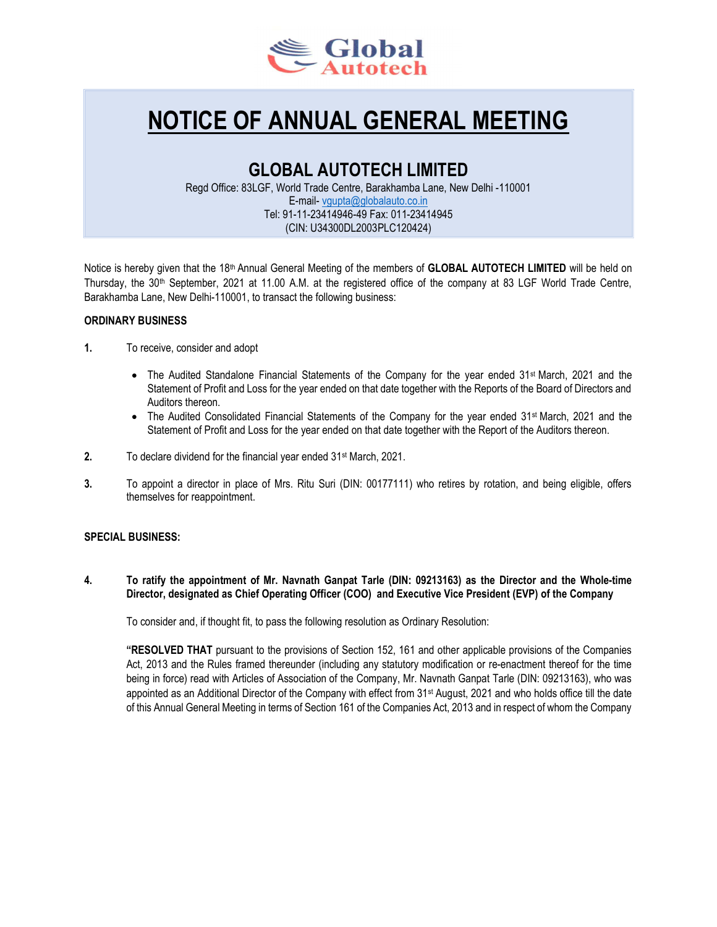

# NOTICE OF ANNUAL GENERAL MEETING

# GLOBAL AUTOTECH LIMITED

Regd Office: 83LGF, World Trade Centre, Barakhamba Lane, New Delhi -110001 E-mail- vgupta@globalauto.co.in Tel: 91-11-23414946-49 Fax: 011-23414945 (CIN: U34300DL2003PLC120424)

Notice is hereby given that the 18<sup>th</sup> Annual General Meeting of the members of **GLOBAL AUTOTECH LIMITED** will be held on Thursday, the 30<sup>th</sup> September, 2021 at 11.00 A.M. at the registered office of the company at 83 LGF World Trade Centre, Barakhamba Lane, New Delhi-110001, to transact the following business:

# ORDINARY BUSINESS

- 1. To receive, consider and adopt
	- The Audited Standalone Financial Statements of the Company for the year ended 31<sup>st</sup> March, 2021 and the Statement of Profit and Loss for the year ended on that date together with the Reports of the Board of Directors and Auditors thereon.
	- The Audited Consolidated Financial Statements of the Company for the year ended 31<sup>st</sup> March, 2021 and the Statement of Profit and Loss for the year ended on that date together with the Report of the Auditors thereon.
- 2. To declare dividend for the financial year ended 31<sup>st</sup> March, 2021.
- 3. To appoint a director in place of Mrs. Ritu Suri (DIN: 00177111) who retires by rotation, and being eligible, offers themselves for reappointment.

# SPECIAL BUSINESS:

4. To ratify the appointment of Mr. Navnath Ganpat Tarle (DIN: 09213163) as the Director and the Whole-time Director, designated as Chief Operating Officer (COO) and Executive Vice President (EVP) of the Company

To consider and, if thought fit, to pass the following resolution as Ordinary Resolution:

"RESOLVED THAT pursuant to the provisions of Section 152, 161 and other applicable provisions of the Companies Act, 2013 and the Rules framed thereunder (including any statutory modification or re-enactment thereof for the time being in force) read with Articles of Association of the Company, Mr. Navnath Ganpat Tarle (DIN: 09213163), who was appointed as an Additional Director of the Company with effect from 31<sup>st</sup> August, 2021 and who holds office till the date of this Annual General Meeting in terms of Section 161 of the Companies Act, 2013 and in respect of whom the Company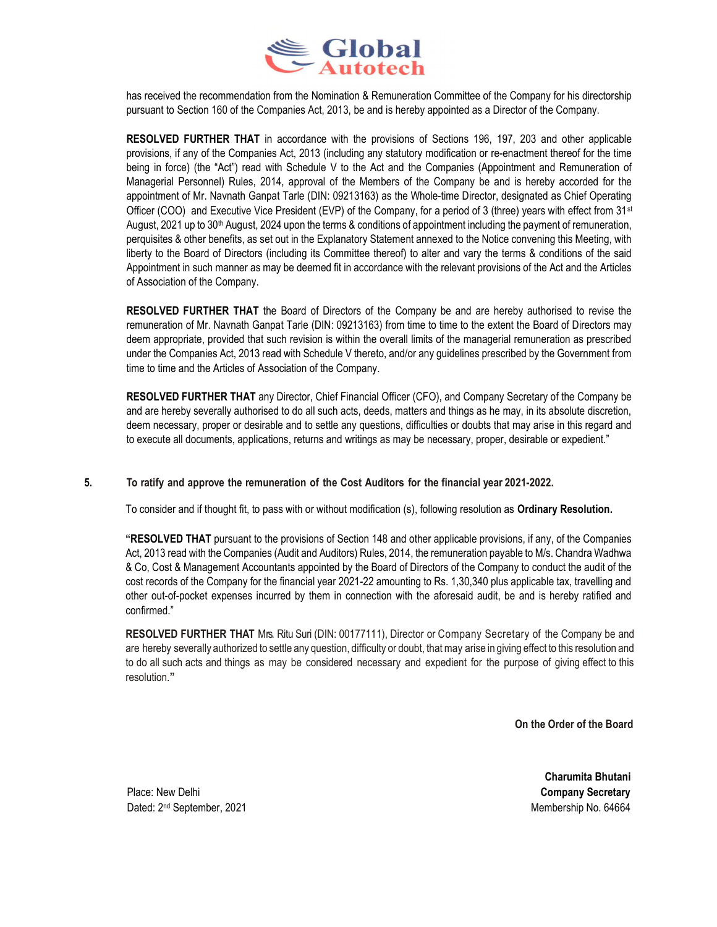

has received the recommendation from the Nomination & Remuneration Committee of the Company for his directorship pursuant to Section 160 of the Companies Act, 2013, be and is hereby appointed as a Director of the Company.

RESOLVED FURTHER THAT in accordance with the provisions of Sections 196, 197, 203 and other applicable provisions, if any of the Companies Act, 2013 (including any statutory modification or re-enactment thereof for the time being in force) (the "Act") read with Schedule V to the Act and the Companies (Appointment and Remuneration of Managerial Personnel) Rules, 2014, approval of the Members of the Company be and is hereby accorded for the appointment of Mr. Navnath Ganpat Tarle (DIN: 09213163) as the Whole-time Director, designated as Chief Operating Officer (COO) and Executive Vice President (EVP) of the Company, for a period of 3 (three) years with effect from  $31st$ August, 2021 up to 30<sup>th</sup> August, 2024 upon the terms & conditions of appointment including the payment of remuneration, perquisites & other benefits, as set out in the Explanatory Statement annexed to the Notice convening this Meeting, with liberty to the Board of Directors (including its Committee thereof) to alter and vary the terms & conditions of the said Appointment in such manner as may be deemed fit in accordance with the relevant provisions of the Act and the Articles of Association of the Company.

RESOLVED FURTHER THAT the Board of Directors of the Company be and are hereby authorised to revise the remuneration of Mr. Navnath Ganpat Tarle (DIN: 09213163) from time to time to the extent the Board of Directors may deem appropriate, provided that such revision is within the overall limits of the managerial remuneration as prescribed under the Companies Act, 2013 read with Schedule V thereto, and/or any guidelines prescribed by the Government from time to time and the Articles of Association of the Company.

RESOLVED FURTHER THAT any Director, Chief Financial Officer (CFO), and Company Secretary of the Company be and are hereby severally authorised to do all such acts, deeds, matters and things as he may, in its absolute discretion, deem necessary, proper or desirable and to settle any questions, difficulties or doubts that may arise in this regard and to execute all documents, applications, returns and writings as may be necessary, proper, desirable or expedient."

## 5. To ratify and approve the remuneration of the Cost Auditors for the financial year 2021-2022.

To consider and if thought fit, to pass with or without modification (s), following resolution as Ordinary Resolution.

"RESOLVED THAT pursuant to the provisions of Section 148 and other applicable provisions, if any, of the Companies Act, 2013 read with the Companies (Audit and Auditors) Rules, 2014, the remuneration payable to M/s. Chandra Wadhwa & Co, Cost & Management Accountants appointed by the Board of Directors of the Company to conduct the audit of the cost records of the Company for the financial year 2021-22 amounting to Rs. 1,30,340 plus applicable tax, travelling and other out-of-pocket expenses incurred by them in connection with the aforesaid audit, be and is hereby ratified and confirmed."

RESOLVED FURTHER THAT Mrs. Ritu Suri (DIN: 00177111), Director or Company Secretary of the Company be and are hereby severally authorized to settle any question, difficulty or doubt, that may arise in giving effect to this resolution and to do all such acts and things as may be considered necessary and expedient for the purpose of giving effect to this resolution."

On the Order of the Board

Charumita Bhutani

Place: New Delhi **Company Secretary** Dated: 2<sup>nd</sup> September, 2021 **Membership No. 64664** Membership No. 64664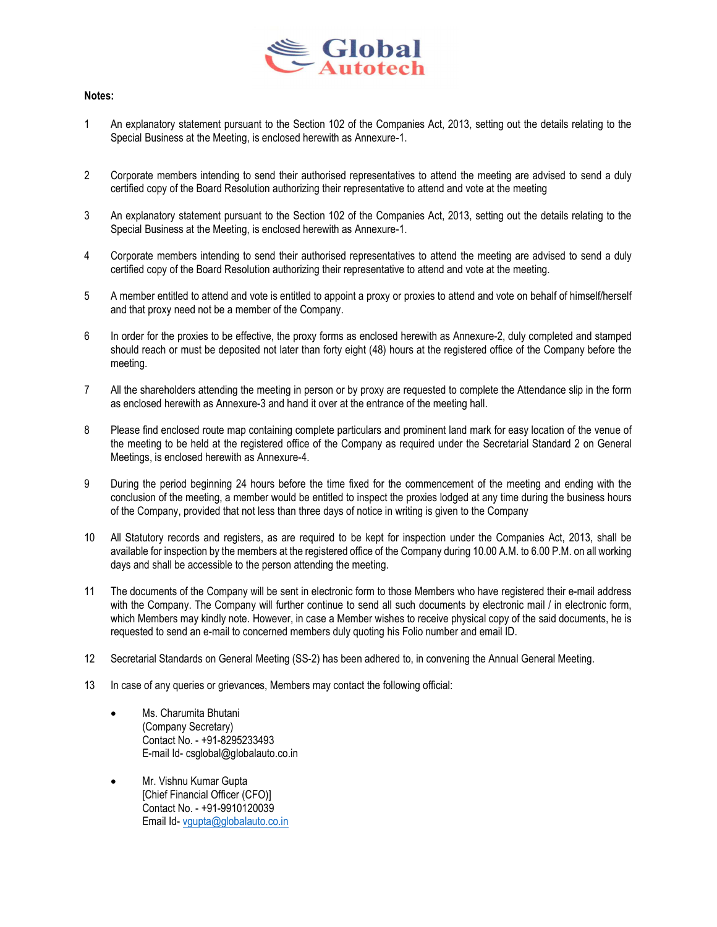

#### Notes:

- 1 An explanatory statement pursuant to the Section 102 of the Companies Act, 2013, setting out the details relating to the Special Business at the Meeting, is enclosed herewith as Annexure-1.
- 2 Corporate members intending to send their authorised representatives to attend the meeting are advised to send a duly certified copy of the Board Resolution authorizing their representative to attend and vote at the meeting
- 3 An explanatory statement pursuant to the Section 102 of the Companies Act, 2013, setting out the details relating to the Special Business at the Meeting, is enclosed herewith as Annexure-1.
- 4 Corporate members intending to send their authorised representatives to attend the meeting are advised to send a duly certified copy of the Board Resolution authorizing their representative to attend and vote at the meeting.
- 5 A member entitled to attend and vote is entitled to appoint a proxy or proxies to attend and vote on behalf of himself/herself and that proxy need not be a member of the Company.
- 6 In order for the proxies to be effective, the proxy forms as enclosed herewith as Annexure-2, duly completed and stamped should reach or must be deposited not later than forty eight (48) hours at the registered office of the Company before the meeting.
- 7 All the shareholders attending the meeting in person or by proxy are requested to complete the Attendance slip in the form as enclosed herewith as Annexure-3 and hand it over at the entrance of the meeting hall.
- 8 Please find enclosed route map containing complete particulars and prominent land mark for easy location of the venue of the meeting to be held at the registered office of the Company as required under the Secretarial Standard 2 on General Meetings, is enclosed herewith as Annexure-4.
- 9 During the period beginning 24 hours before the time fixed for the commencement of the meeting and ending with the conclusion of the meeting, a member would be entitled to inspect the proxies lodged at any time during the business hours of the Company, provided that not less than three days of notice in writing is given to the Company
- 10 All Statutory records and registers, as are required to be kept for inspection under the Companies Act, 2013, shall be available for inspection by the members at the registered office of the Company during 10.00 A.M. to 6.00 P.M. on all working days and shall be accessible to the person attending the meeting.
- 11 The documents of the Company will be sent in electronic form to those Members who have registered their e-mail address with the Company. The Company will further continue to send all such documents by electronic mail / in electronic form, which Members may kindly note. However, in case a Member wishes to receive physical copy of the said documents, he is requested to send an e-mail to concerned members duly quoting his Folio number and email ID.
- 12 Secretarial Standards on General Meeting (SS-2) has been adhered to, in convening the Annual General Meeting.
- 13 In case of any queries or grievances, Members may contact the following official:
	- Ms. Charumita Bhutani (Company Secretary) Contact No. - +91-8295233493 E-mail Id- csglobal@globalauto.co.in
	- Mr. Vishnu Kumar Gupta [Chief Financial Officer (CFO)] Contact No. - +91-9910120039 Email Id- vgupta@globalauto.co.in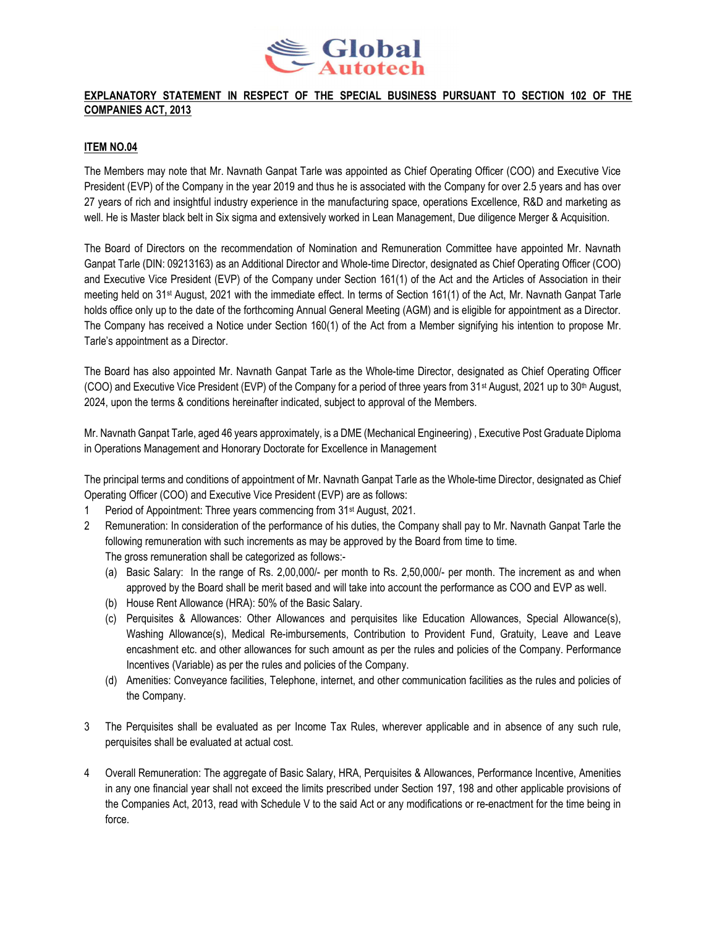

# EXPLANATORY STATEMENT IN RESPECT OF THE SPECIAL BUSINESS PURSUANT TO SECTION 102 OF THE COMPANIES ACT, 2013

### ITEM NO.04

The Members may note that Mr. Navnath Ganpat Tarle was appointed as Chief Operating Officer (COO) and Executive Vice President (EVP) of the Company in the year 2019 and thus he is associated with the Company for over 2.5 years and has over 27 years of rich and insightful industry experience in the manufacturing space, operations Excellence, R&D and marketing as well. He is Master black belt in Six sigma and extensively worked in Lean Management, Due diligence Merger & Acquisition.

The Board of Directors on the recommendation of Nomination and Remuneration Committee have appointed Mr. Navnath Ganpat Tarle (DIN: 09213163) as an Additional Director and Whole-time Director, designated as Chief Operating Officer (COO) and Executive Vice President (EVP) of the Company under Section 161(1) of the Act and the Articles of Association in their meeting held on 31st August, 2021 with the immediate effect. In terms of Section 161(1) of the Act, Mr. Navnath Ganpat Tarle holds office only up to the date of the forthcoming Annual General Meeting (AGM) and is eligible for appointment as a Director. The Company has received a Notice under Section 160(1) of the Act from a Member signifying his intention to propose Mr. Tarle's appointment as a Director.

The Board has also appointed Mr. Navnath Ganpat Tarle as the Whole-time Director, designated as Chief Operating Officer (COO) and Executive Vice President (EVP) of the Company for a period of three years from 31<sup>st</sup> August, 2021 up to 30<sup>th</sup> August, 2024, upon the terms & conditions hereinafter indicated, subject to approval of the Members.

Mr. Navnath Ganpat Tarle, aged 46 years approximately, is a DME (Mechanical Engineering) , Executive Post Graduate Diploma in Operations Management and Honorary Doctorate for Excellence in Management

The principal terms and conditions of appointment of Mr. Navnath Ganpat Tarle as the Whole-time Director, designated as Chief Operating Officer (COO) and Executive Vice President (EVP) are as follows:

- 1 Period of Appointment: Three years commencing from 31st August, 2021.
- 2 Remuneration: In consideration of the performance of his duties, the Company shall pay to Mr. Navnath Ganpat Tarle the following remuneration with such increments as may be approved by the Board from time to time. The gross remuneration shall be categorized as follows:-
	- (a) Basic Salary: In the range of Rs. 2,00,000/- per month to Rs. 2,50,000/- per month. The increment as and when approved by the Board shall be merit based and will take into account the performance as COO and EVP as well.
	- (b) House Rent Allowance (HRA): 50% of the Basic Salary.
	- (c) Perquisites & Allowances: Other Allowances and perquisites like Education Allowances, Special Allowance(s), Washing Allowance(s), Medical Re-imbursements, Contribution to Provident Fund, Gratuity, Leave and Leave encashment etc. and other allowances for such amount as per the rules and policies of the Company. Performance Incentives (Variable) as per the rules and policies of the Company.
	- (d) Amenities: Conveyance facilities, Telephone, internet, and other communication facilities as the rules and policies of the Company.
- 3 The Perquisites shall be evaluated as per Income Tax Rules, wherever applicable and in absence of any such rule, perquisites shall be evaluated at actual cost.
- 4 Overall Remuneration: The aggregate of Basic Salary, HRA, Perquisites & Allowances, Performance Incentive, Amenities in any one financial year shall not exceed the limits prescribed under Section 197, 198 and other applicable provisions of the Companies Act, 2013, read with Schedule V to the said Act or any modifications or re-enactment for the time being in force.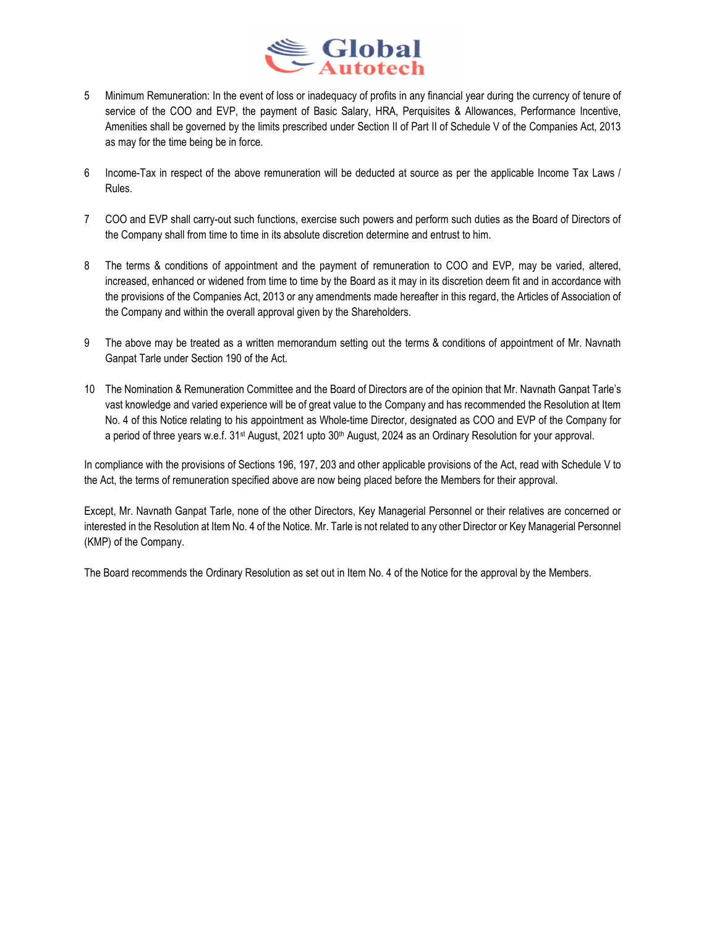

- 5 Minimum Remuneration: In the event of loss or inadequacy of profits in any financial year during the currency of tenure of service of the COO and EVP, the payment of Basic Salary, HRA, Perquisites & Allowances, Performance Incentive, Amenities shall be governed by the limits prescribed under Section II of Part II of Schedule V of the Companies Act, 2013 as may for the time being be in force.
- 6 Income-Tax in respect of the above remuneration will be deducted at source as per the applicable Income Tax Laws / Rules.
- 7 COO and EVP shall carry-out such functions, exercise such powers and perform such duties as the Board of Directors of the Company shall from time to time in its absolute discretion determine and entrust to him.
- 8 The terms & conditions of appointment and the payment of remuneration to COO and EVP, may be varied, altered, increased, enhanced or widened from time to time by the Board as it may in its discretion deem fit and in accordance with the provisions of the Companies Act, 2013 or any amendments made hereafter in this regard, the Articles of Association of the Company and within the overall approval given by the Shareholders.
- 9 The above may be treated as a written memorandum setting out the terms & conditions of appointment of Mr. Navnath Ganpat Tarle under Section 190 of the Act.
- 10 The Nomination & Remuneration Committee and the Board of Directors are of the opinion that Mr. Navnath Ganpat Tarle's vast knowledge and varied experience will be of great value to the Company and has recommended the Resolution at Item No. 4 of this Notice relating to his appointment as Whole-time Director, designated as COO and EVP of the Company for a period of three years w.e.f. 31<sup>st</sup> August, 2021 upto 30<sup>th</sup> August, 2024 as an Ordinary Resolution for your approval.

In compliance with the provisions of Sections 196, 197, 203 and other applicable provisions of the Act, read with Schedule V to the Act, the terms of remuneration specified above are now being placed before the Members for their approval.

Except, Mr. Navnath Ganpat Tarle, none of the other Directors, Key Managerial Personnel or their relatives are concerned or interested in the Resolution at Item No. 4 of the Notice. Mr. Tarle is not related to any other Director or Key Managerial Personnel (KMP) of the Company.

The Board recommends the Ordinary Resolution as set out in Item No. 4 of the Notice for the approval by the Members.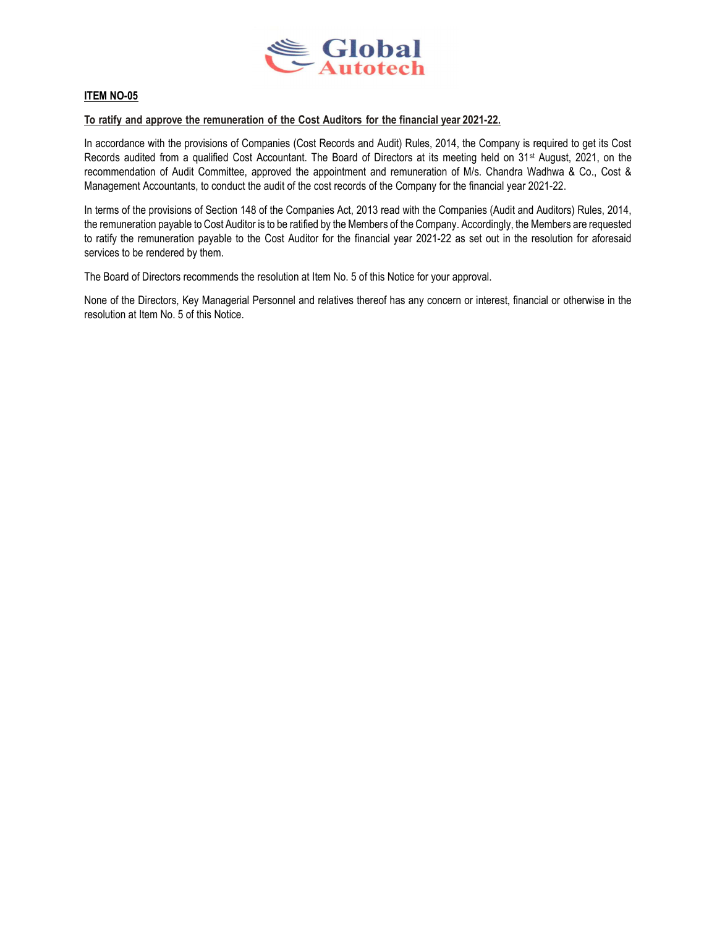

# **ITEM NO-05**

#### To ratify and approve the remuneration of the Cost Auditors for the financial year 2021-22.

In accordance with the provisions of Companies (Cost Records and Audit) Rules, 2014, the Company is required to get its Cost Records audited from a qualified Cost Accountant. The Board of Directors at its meeting held on 31st August, 2021, on the recommendation of Audit Committee, approved the appointment and remuneration of M/s. Chandra Wadhwa & Co., Cost & Management Accountants, to conduct the audit of the cost records of the Company for the financial year 2021-22.

In terms of the provisions of Section 148 of the Companies Act, 2013 read with the Companies (Audit and Auditors) Rules, 2014, the remuneration payable to Cost Auditor is to be ratified by the Members of the Company. Accordingly, the Members are requested to ratify the remuneration payable to the Cost Auditor for the financial year 2021-22 as set out in the resolution for aforesaid services to be rendered by them.

The Board of Directors recommends the resolution at Item No. 5 of this Notice for your approval.

None of the Directors, Key Managerial Personnel and relatives thereof has any concern or interest, financial or otherwise in the resolution at Item No. 5 of this Notice.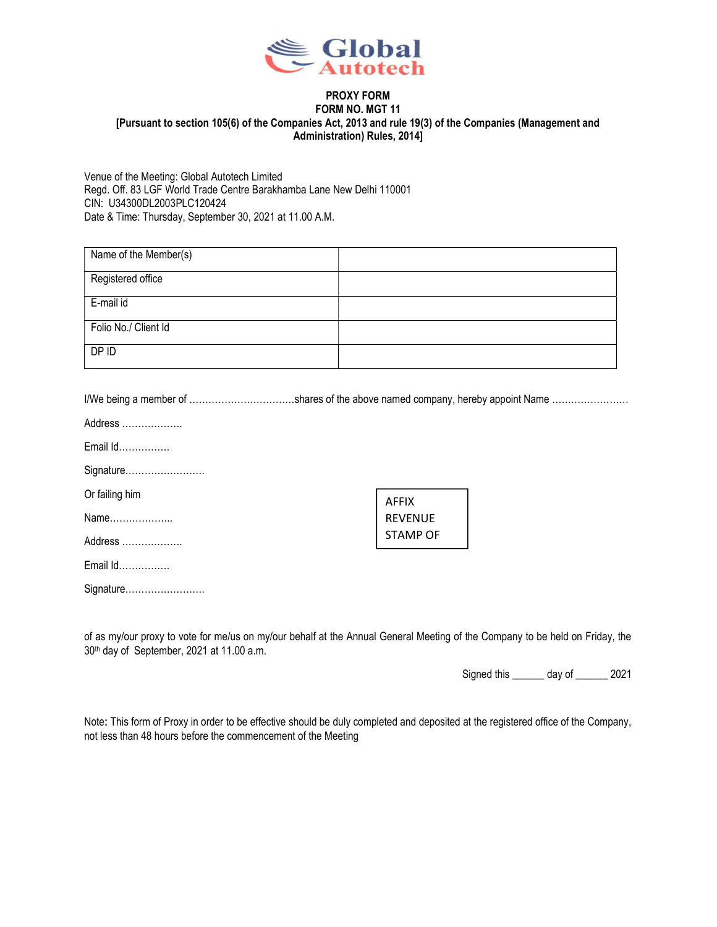

#### PROXY FORM FORM NO. MGT 11 [Pursuant to section 105(6) of the Companies Act, 2013 and rule 19(3) of the Companies (Management and Administration) Rules, 2014]

Venue of the Meeting: Global Autotech Limited Regd. Off. 83 LGF World Trade Centre Barakhamba Lane New Delhi 110001 CIN: U34300DL2003PLC120424 Date & Time: Thursday, September 30, 2021 at 11.00 A.M.

| Name of the Member(s) |  |
|-----------------------|--|
| Registered office     |  |
| E-mail id             |  |
| Folio No./ Client Id  |  |
| DP ID                 |  |

I/We being a member of ……………………………shares of the above named company, hereby appoint Name ……………………

|  | Address |  |
|--|---------|--|
|--|---------|--|

Email Id…………….

Signature…………………….

Or failing him

Name………………..

Address ……………….

Email Id…………….

Signature…………………….

AFFIX REVENUE STAMP OF

of as my/our proxy to vote for me/us on my/our behalf at the Annual General Meeting of the Company to be held on Friday, the 30th day of September, 2021 at 11.00 a.m.

Signed this \_\_\_\_\_\_ day of \_\_\_\_\_\_ 2021

Note: This form of Proxy in order to be effective should be duly completed and deposited at the registered office of the Company, not less than 48 hours before the commencement of the Meeting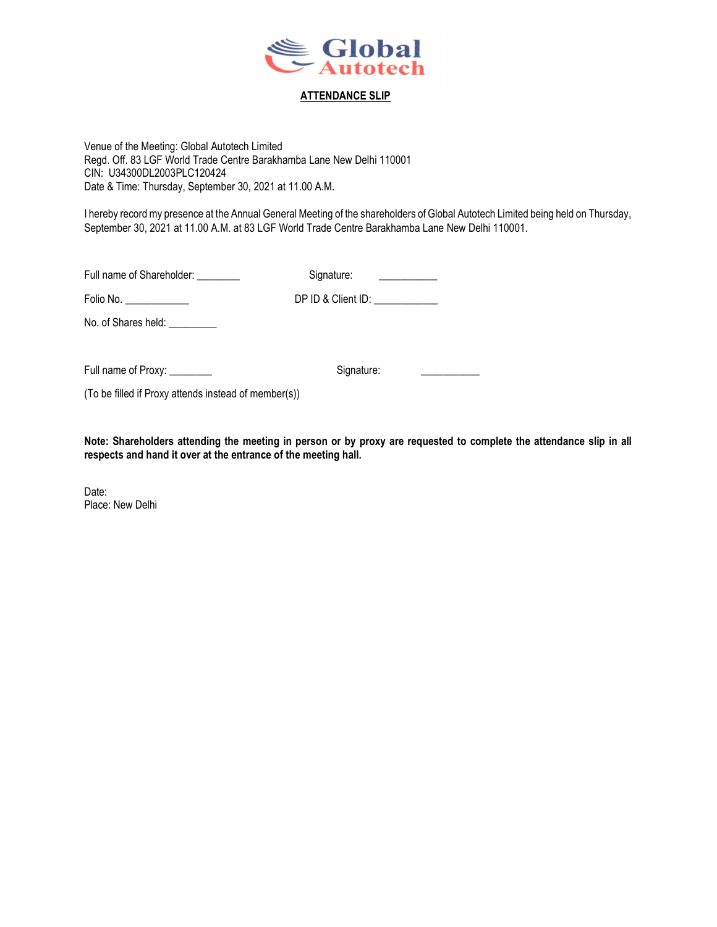

### ATTENDANCE SLIP

Venue of the Meeting: Global Autotech Limited Regd. Off. 83 LGF World Trade Centre Barakhamba Lane New Delhi 110001 CIN: U34300DL2003PLC120424 Date & Time: Thursday, September 30, 2021 at 11.00 A.M.

I hereby record my presence at the Annual General Meeting of the shareholders of Global Autotech Limited being held on Thursday, September 30, 2021 at 11.00 A.M. at 83 LGF World Trade Centre Barakhamba Lane New Delhi 110001.

Full name of Shareholder: \_\_\_\_\_\_\_\_\_ Signature: \_\_\_\_\_\_\_\_\_\_\_\_\_

Folio No. \_\_\_\_\_\_\_\_\_\_\_\_ DP ID & Client ID: \_\_\_\_\_\_\_\_\_\_\_\_

No. of Shares held: \_\_\_\_\_\_\_\_\_\_

Full name of Proxy: \_\_\_\_\_\_\_\_ Signature: \_\_\_\_\_\_\_\_\_\_\_

(To be filled if Proxy attends instead of member(s))

Note: Shareholders attending the meeting in person or by proxy are requested to complete the attendance slip in all respects and hand it over at the entrance of the meeting hall.

Date: Place: New Delhi